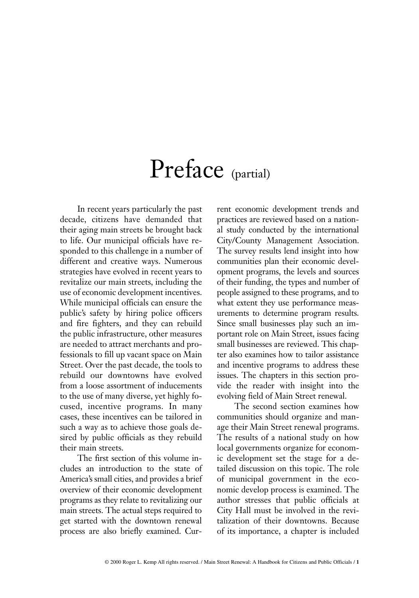## Preface (partial)

In recent years particularly the past decade, citizens have demanded that their aging main streets be brought back to life. Our municipal officials have responded to this challenge in a number of different and creative ways. Numerous strategies have evolved in recent years to revitalize our main streets, including the use of economic development incentives. While municipal officials can ensure the public's safety by hiring police officers and fire fighters, and they can rebuild the public infrastructure, other measures are needed to attract merchants and professionals to fill up vacant space on Main Street. Over the past decade, the tools to rebuild our downtowns have evolved from a loose assortment of inducements to the use of many diverse, yet highly focused, incentive programs. In many cases, these incentives can be tailored in such a way as to achieve those goals desired by public officials as they rebuild their main streets.

The first section of this volume includes an introduction to the state of America's small cities, and provides a brief overview of their economic development programs as they relate to revitalizing our main streets. The actual steps required to get started with the downtown renewal process are also briefly examined. Current economic development trends and practices are reviewed based on a national study conducted by the international City/County Management Association. The survey results lend insight into how communities plan their economic development programs, the levels and sources of their funding, the types and number of people assigned to these programs, and to what extent they use performance measurements to determine program results. Since small businesses play such an important role on Main Street, issues facing small businesses are reviewed. This chapter also examines how to tailor assistance and incentive programs to address these issues. The chapters in this section provide the reader with insight into the evolving field of Main Street renewal.

The second section examines how communities should organize and manage their Main Street renewal programs. The results of a national study on how local governments organize for economic development set the stage for a detailed discussion on this topic. The role of municipal government in the economic develop process is examined. The author stresses that public officials at City Hall must be involved in the revitalization of their downtowns. Because of its importance, a chapter is included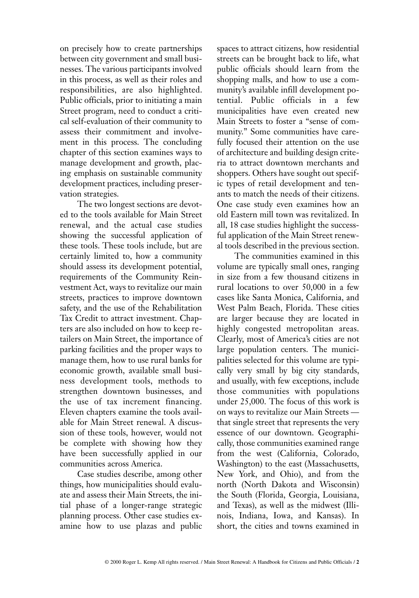on precisely how to create partnerships between city government and small businesses. The various participants involved in this process, as well as their roles and responsibilities, are also highlighted. Public officials, prior to initiating a main Street program, need to conduct a critical self-evaluation of their community to assess their commitment and involvement in this process. The concluding chapter of this section examines ways to manage development and growth, placing emphasis on sustainable community development practices, including preservation strategies.

The two longest sections are devoted to the tools available for Main Street renewal, and the actual case studies showing the successful application of these tools. These tools include, but are certainly limited to, how a community should assess its development potential, requirements of the Community Reinvestment Act, ways to revitalize our main streets, practices to improve downtown safety, and the use of the Rehabilitation Tax Credit to attract investment. Chapters are also included on how to keep retailers on Main Street, the importance of parking facilities and the proper ways to manage them, how to use rural banks for economic growth, available small business development tools, methods to strengthen downtown businesses, and the use of tax increment financing. Eleven chapters examine the tools available for Main Street renewal. A discussion of these tools, however, would not be complete with showing how they have been successfully applied in our communities across America.

Case studies describe, among other things, how municipalities should evaluate and assess their Main Streets, the initial phase of a longer-range strategic planning process. Other case studies examine how to use plazas and public spaces to attract citizens, how residential streets can be brought back to life, what public officials should learn from the shopping malls, and how to use a community's available infill development potential. Public officials in a few municipalities have even created new Main Streets to foster a "sense of community." Some communities have carefully focused their attention on the use of architecture and building design criteria to attract downtown merchants and shoppers. Others have sought out specific types of retail development and tenants to match the needs of their citizens. One case study even examines how an old Eastern mill town was revitalized. In all, 18 case studies highlight the successful application of the Main Street renewal tools described in the previous section.

The communities examined in this volume are typically small ones, ranging in size from a few thousand citizens in rural locations to over 50,000 in a few cases like Santa Monica, California, and West Palm Beach, Florida. These cities are larger because they are located in highly congested metropolitan areas. Clearly, most of America's cities are not large population centers. The municipalities selected for this volume are typically very small by big city standards, and usually, with few exceptions, include those communities with populations under 25,000. The focus of this work is on ways to revitalize our Main Streets that single street that represents the very essence of our downtown. Geographically, those communities examined range from the west (California, Colorado, Washington) to the east (Massachusetts, New York, and Ohio), and from the north (North Dakota and Wisconsin) the South (Florida, Georgia, Louisiana, and Texas), as well as the midwest (Illinois, Indiana, Iowa, and Kansas). In short, the cities and towns examined in